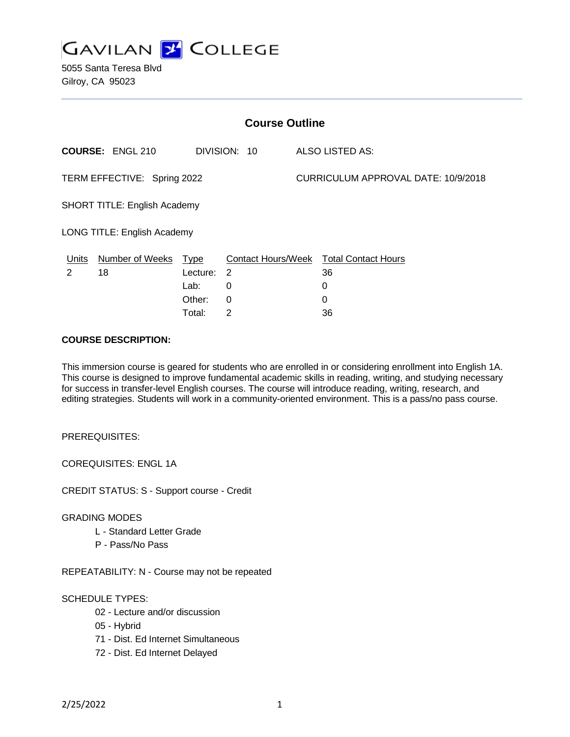

5055 Santa Teresa Blvd Gilroy, CA 95023

| <b>Course Outline</b>               |                         |             |              |                                     |                                        |
|-------------------------------------|-------------------------|-------------|--------------|-------------------------------------|----------------------------------------|
|                                     | <b>COURSE: ENGL 210</b> |             | DIVISION: 10 |                                     | ALSO LISTED AS:                        |
| TERM EFFECTIVE: Spring 2022         |                         |             |              | CURRICULUM APPROVAL DATE: 10/9/2018 |                                        |
| <b>SHORT TITLE: English Academy</b> |                         |             |              |                                     |                                        |
| LONG TITLE: English Academy         |                         |             |              |                                     |                                        |
| Units                               | <b>Number of Weeks</b>  | <u>Type</u> |              |                                     | Contact Hours/Week Total Contact Hours |
| 2                                   | 18                      | Lecture:    | -2           |                                     | 36                                     |
|                                     |                         | Lab:        | 0            |                                     | 0                                      |
|                                     |                         | Other:      | 0            |                                     | 0                                      |
|                                     |                         | Total:      | 2            |                                     | 36                                     |

#### **COURSE DESCRIPTION:**

This immersion course is geared for students who are enrolled in or considering enrollment into English 1A. This course is designed to improve fundamental academic skills in reading, writing, and studying necessary for success in transfer-level English courses. The course will introduce reading, writing, research, and editing strategies. Students will work in a community-oriented environment. This is a pass/no pass course.

PREREQUISITES:

COREQUISITES: ENGL 1A

CREDIT STATUS: S - Support course - Credit

#### GRADING MODES

- L Standard Letter Grade
- P Pass/No Pass

REPEATABILITY: N - Course may not be repeated

# SCHEDULE TYPES:

- 02 Lecture and/or discussion
- 05 Hybrid
- 71 Dist. Ed Internet Simultaneous
- 72 Dist. Ed Internet Delayed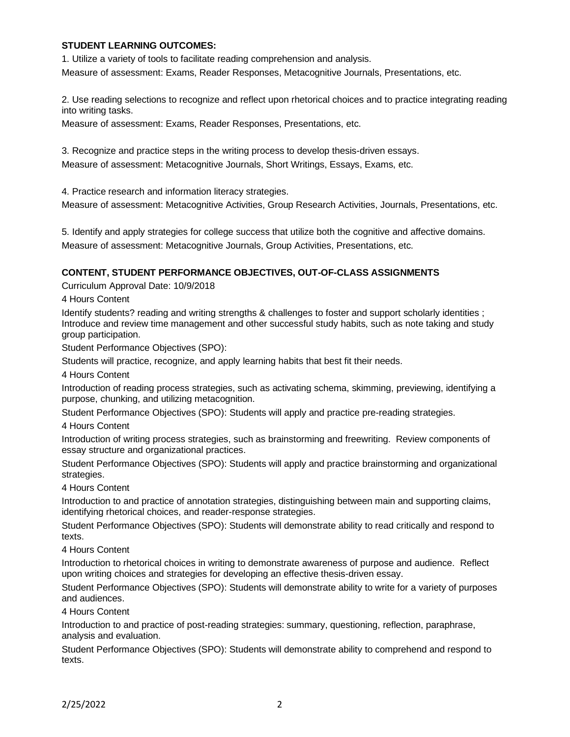# **STUDENT LEARNING OUTCOMES:**

1. Utilize a variety of tools to facilitate reading comprehension and analysis. Measure of assessment: Exams, Reader Responses, Metacognitive Journals, Presentations, etc.

2. Use reading selections to recognize and reflect upon rhetorical choices and to practice integrating reading into writing tasks.

Measure of assessment: Exams, Reader Responses, Presentations, etc.

3. Recognize and practice steps in the writing process to develop thesis-driven essays. Measure of assessment: Metacognitive Journals, Short Writings, Essays, Exams, etc.

4. Practice research and information literacy strategies.

Measure of assessment: Metacognitive Activities, Group Research Activities, Journals, Presentations, etc.

5. Identify and apply strategies for college success that utilize both the cognitive and affective domains. Measure of assessment: Metacognitive Journals, Group Activities, Presentations, etc.

# **CONTENT, STUDENT PERFORMANCE OBJECTIVES, OUT-OF-CLASS ASSIGNMENTS**

Curriculum Approval Date: 10/9/2018

4 Hours Content

Identify students? reading and writing strengths & challenges to foster and support scholarly identities ; Introduce and review time management and other successful study habits, such as note taking and study group participation.

Student Performance Objectives (SPO):

Students will practice, recognize, and apply learning habits that best fit their needs.

4 Hours Content

Introduction of reading process strategies, such as activating schema, skimming, previewing, identifying a purpose, chunking, and utilizing metacognition.

Student Performance Objectives (SPO): Students will apply and practice pre-reading strategies.

4 Hours Content

Introduction of writing process strategies, such as brainstorming and freewriting. Review components of essay structure and organizational practices.

Student Performance Objectives (SPO): Students will apply and practice brainstorming and organizational strategies.

4 Hours Content

Introduction to and practice of annotation strategies, distinguishing between main and supporting claims, identifying rhetorical choices, and reader-response strategies.

Student Performance Objectives (SPO): Students will demonstrate ability to read critically and respond to texts.

4 Hours Content

Introduction to rhetorical choices in writing to demonstrate awareness of purpose and audience. Reflect upon writing choices and strategies for developing an effective thesis-driven essay.

Student Performance Objectives (SPO): Students will demonstrate ability to write for a variety of purposes and audiences.

4 Hours Content

Introduction to and practice of post-reading strategies: summary, questioning, reflection, paraphrase, analysis and evaluation.

Student Performance Objectives (SPO): Students will demonstrate ability to comprehend and respond to texts.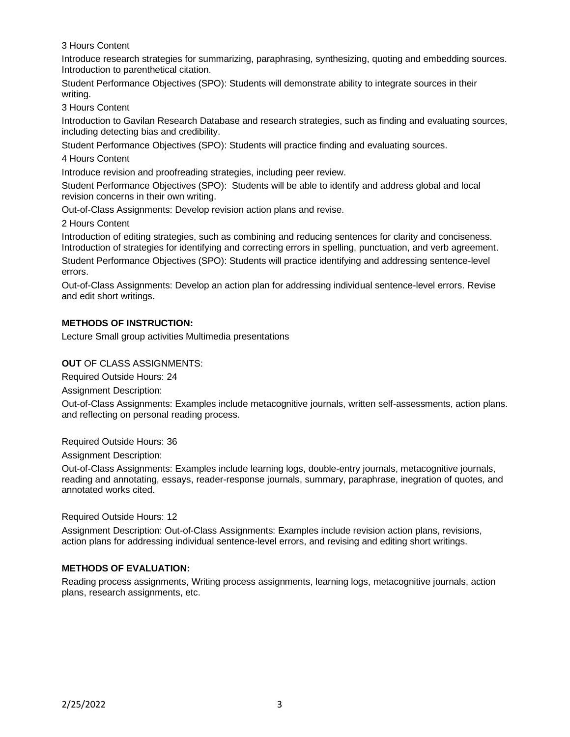3 Hours Content

Introduce research strategies for summarizing, paraphrasing, synthesizing, quoting and embedding sources. Introduction to parenthetical citation.

Student Performance Objectives (SPO): Students will demonstrate ability to integrate sources in their writing.

3 Hours Content

Introduction to Gavilan Research Database and research strategies, such as finding and evaluating sources, including detecting bias and credibility.

Student Performance Objectives (SPO): Students will practice finding and evaluating sources.

4 Hours Content

Introduce revision and proofreading strategies, including peer review.

Student Performance Objectives (SPO): Students will be able to identify and address global and local revision concerns in their own writing.

Out-of-Class Assignments: Develop revision action plans and revise.

2 Hours Content

Introduction of editing strategies, such as combining and reducing sentences for clarity and conciseness. Introduction of strategies for identifying and correcting errors in spelling, punctuation, and verb agreement.

Student Performance Objectives (SPO): Students will practice identifying and addressing sentence-level errors.

Out-of-Class Assignments: Develop an action plan for addressing individual sentence-level errors. Revise and edit short writings.

# **METHODS OF INSTRUCTION:**

Lecture Small group activities Multimedia presentations

**OUT** OF CLASS ASSIGNMENTS:

Required Outside Hours: 24

Assignment Description:

Out-of-Class Assignments: Examples include metacognitive journals, written self-assessments, action plans. and reflecting on personal reading process.

Required Outside Hours: 36

Assignment Description:

Out-of-Class Assignments: Examples include learning logs, double-entry journals, metacognitive journals, reading and annotating, essays, reader-response journals, summary, paraphrase, inegration of quotes, and annotated works cited.

Required Outside Hours: 12

Assignment Description: Out-of-Class Assignments: Examples include revision action plans, revisions, action plans for addressing individual sentence-level errors, and revising and editing short writings.

# **METHODS OF EVALUATION:**

Reading process assignments, Writing process assignments, learning logs, metacognitive journals, action plans, research assignments, etc.